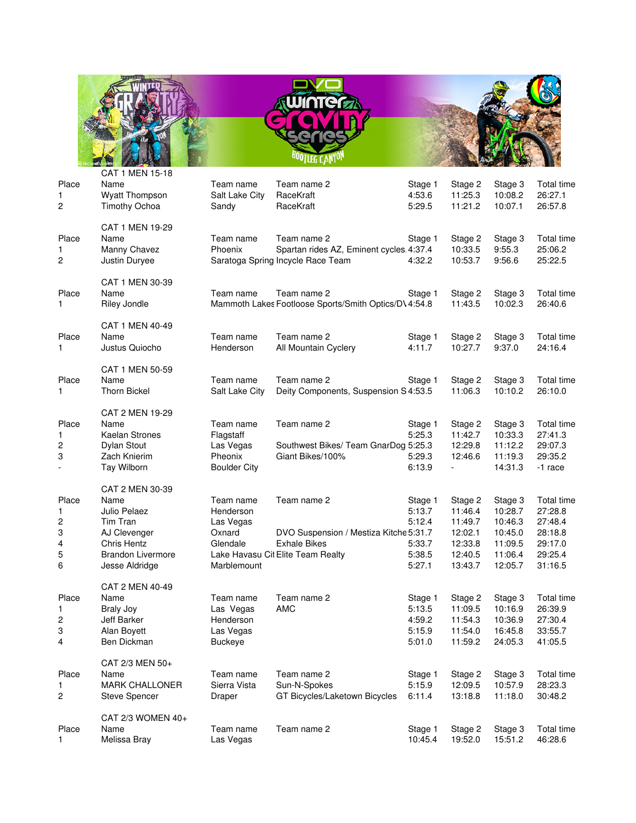

| Place<br>1<br>2                        | CAT 1 MEN 15-18<br>Name<br><b>Wyatt Thompson</b><br><b>Timothy Ochoa</b>                                                                | Team name<br>Salt Lake City<br>Sandy                                     | Team name 2<br>RaceKraft<br>RaceKraft                                                                             | Stage 1<br>4:53.6<br>5:29.5                               | Stage 2<br>11:25.3<br>11:21.2                                             | Stage 3<br>10:08.2<br>10:07.1                                             | Total time<br>26:27.1<br>26:57.8                                             |
|----------------------------------------|-----------------------------------------------------------------------------------------------------------------------------------------|--------------------------------------------------------------------------|-------------------------------------------------------------------------------------------------------------------|-----------------------------------------------------------|---------------------------------------------------------------------------|---------------------------------------------------------------------------|------------------------------------------------------------------------------|
| Place<br>1<br>2                        | CAT 1 MEN 19-29<br>Name<br>Manny Chavez<br>Justin Duryee                                                                                | Team name<br>Phoenix                                                     | Team name 2<br>Spartan rides AZ, Eminent cycles 4:37.4<br>Saratoga Spring Incycle Race Team                       | Stage 1<br>4:32.2                                         | Stage 2<br>10:33.5<br>10:53.7                                             | Stage 3<br>9:55.3<br>9:56.6                                               | Total time<br>25:06.2<br>25:22.5                                             |
| Place<br>1                             | CAT 1 MEN 30-39<br>Name<br>Riley Jondle                                                                                                 | Team name                                                                | Team name 2<br>Mammoth Lakes Footloose Sports/Smith Optics/D\4:54.8                                               | Stage 1                                                   | Stage 2<br>11:43.5                                                        | Stage 3<br>10:02.3                                                        | Total time<br>26:40.6                                                        |
| Place<br>1                             | CAT 1 MEN 40-49<br>Name<br>Justus Quiocho                                                                                               | Team name<br>Henderson                                                   | Team name 2<br>All Mountain Cyclery                                                                               | Stage 1<br>4:11.7                                         | Stage 2<br>10:27.7                                                        | Stage 3<br>9:37.0                                                         | Total time<br>24:16.4                                                        |
| Place<br>1                             | CAT 1 MEN 50-59<br>Name<br><b>Thorn Bickel</b>                                                                                          | Team name<br>Salt Lake City                                              | Team name 2<br>Deity Components, Suspension S 4:53.5                                                              | Stage 1                                                   | Stage 2<br>11:06.3                                                        | Stage 3<br>10:10.2                                                        | Total time<br>26:10.0                                                        |
| Place<br>1<br>2<br>3                   | CAT 2 MEN 19-29<br>Name<br><b>Kaelan Strones</b><br>Dylan Stout<br>Zach Knierim<br>Tay Wilborn                                          | Team name<br>Flagstaff<br>Las Vegas<br>Pheonix<br><b>Boulder City</b>    | Team name 2<br>Southwest Bikes/ Team GnarDog 5:25.3<br>Giant Bikes/100%                                           | Stage 1<br>5:25.3<br>5:29.3<br>6:13.9                     | Stage 2<br>11:42.7<br>12:29.8<br>12:46.6<br>$\blacksquare$                | Stage 3<br>10:33.3<br>11:12.2<br>11:19.3<br>14:31.3                       | Total time<br>27:41.3<br>29:07.3<br>29:35.2<br>-1 race                       |
| Place<br>1<br>2<br>3<br>4<br>5<br>6    | CAT 2 MEN 30-39<br>Name<br>Julio Pelaez<br>Tim Tran<br>AJ Clevenger<br><b>Chris Hentz</b><br><b>Brandon Livermore</b><br>Jesse Aldridge | Team name<br>Henderson<br>Las Vegas<br>Oxnard<br>Glendale<br>Marblemount | Team name 2<br>DVO Suspension / Mestiza Kitche 5:31.7<br><b>Exhale Bikes</b><br>Lake Havasu Cit Elite Team Realty | Stage 1<br>5:13.7<br>5:12.4<br>5:33.7<br>5:38.5<br>5:27.1 | Stage 2<br>11:46.4<br>11:49.7<br>12:02.1<br>12:33.8<br>12:40.5<br>13:43.7 | Stage 3<br>10:28.7<br>10:46.3<br>10:45.0<br>11:09.5<br>11:06.4<br>12:05.7 | Total time<br>27:28.8<br>27:48.4<br>28:18.8<br>29:17.0<br>29:25.4<br>31:16.5 |
| Place<br>1<br>$\overline{c}$<br>3<br>4 | CAT 2 MEN 40-49<br>Name<br><b>Braly Joy</b><br>Jeff Barker<br>Alan Boyett<br>Ben Dickman                                                | Team name<br>Las Vegas<br>Henderson<br>Las Vegas<br><b>Buckeye</b>       | Team name 2<br><b>AMC</b>                                                                                         | Stage 1<br>5:13.5<br>4:59.2<br>5:15.9<br>5:01.0           | Stage 2<br>11:09.5<br>11:54.3<br>11:54.0<br>11:59.2                       | Stage 3<br>10:16.9<br>10:36.9<br>16:45.8<br>24:05.3                       | Total time<br>26:39.9<br>27:30.4<br>33:55.7<br>41:05.5                       |
| Place<br>1<br>$\overline{c}$           | CAT 2/3 MEN 50+<br>Name<br><b>MARK CHALLONER</b><br><b>Steve Spencer</b>                                                                | Team name<br>Sierra Vista<br>Draper                                      | Team name 2<br>Sun-N-Spokes<br>GT Bicycles/Laketown Bicycles                                                      | Stage 1<br>5:15.9<br>6:11.4                               | Stage 2<br>12:09.5<br>13:18.8                                             | Stage 3<br>10:57.9<br>11:18.0                                             | Total time<br>28:23.3<br>30:48.2                                             |
| Place<br>1                             | CAT 2/3 WOMEN 40+<br>Name<br>Melissa Bray                                                                                               | Team name<br>Las Vegas                                                   | Team name 2                                                                                                       | Stage 1<br>10:45.4                                        | Stage 2<br>19:52.0                                                        | Stage 3<br>15:51.2                                                        | Total time<br>46:28.6                                                        |